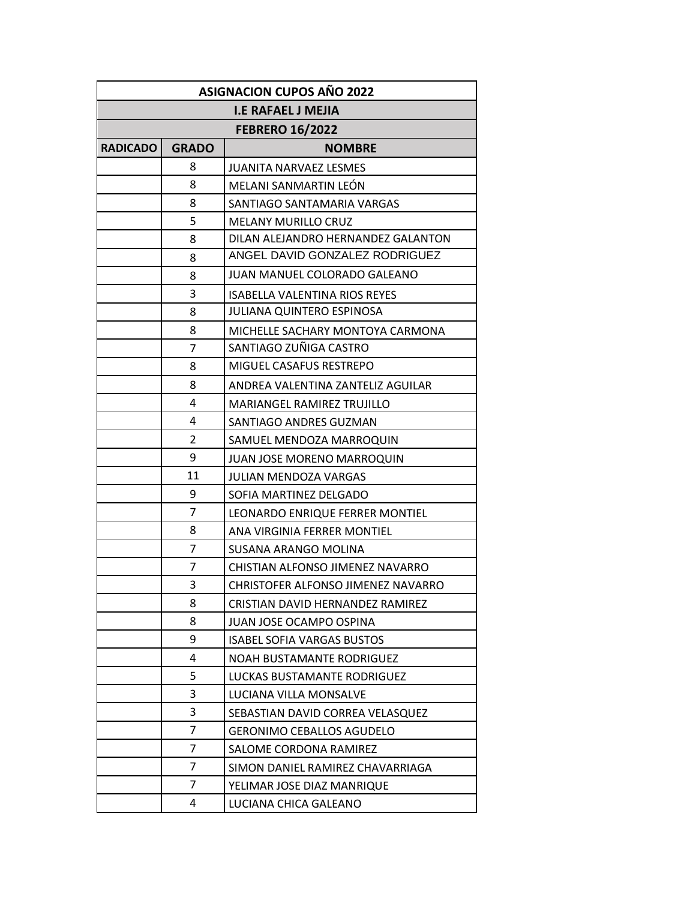| <b>ASIGNACION CUPOS AÑO 2022</b> |                |                                      |  |
|----------------------------------|----------------|--------------------------------------|--|
| <b>I.E RAFAEL J MEJIA</b>        |                |                                      |  |
| <b>FEBRERO 16/2022</b>           |                |                                      |  |
| <b>RADICADO</b>                  | <b>GRADO</b>   | <b>NOMBRE</b>                        |  |
|                                  | 8              | JUANITA NARVAEZ LESMES               |  |
|                                  | 8              | MELANI SANMARTIN LEÓN                |  |
|                                  | 8              | SANTIAGO SANTAMARIA VARGAS           |  |
|                                  | 5              | <b>MELANY MURILLO CRUZ</b>           |  |
|                                  | 8              | DILAN ALEJANDRO HERNANDEZ GALANTON   |  |
|                                  | 8              | ANGEL DAVID GONZALEZ RODRIGUEZ       |  |
|                                  | 8              | JUAN MANUEL COLORADO GALEANO         |  |
|                                  | 3              | <b>ISABELLA VALENTINA RIOS REYES</b> |  |
|                                  | 8              | JULIANA QUINTERO ESPINOSA            |  |
|                                  | 8              | MICHELLE SACHARY MONTOYA CARMONA     |  |
|                                  | 7              | SANTIAGO ZUÑIGA CASTRO               |  |
|                                  | 8              | MIGUEL CASAFUS RESTREPO              |  |
|                                  | 8              | ANDREA VALENTINA ZANTELIZ AGUILAR    |  |
|                                  | 4              | <b>MARIANGEL RAMIREZ TRUJILLO</b>    |  |
|                                  | 4              | SANTIAGO ANDRES GUZMAN               |  |
|                                  | 2              | SAMUEL MENDOZA MARROQUIN             |  |
|                                  | 9              | <b>JUAN JOSE MORENO MARROQUIN</b>    |  |
|                                  | 11             | <b>JULIAN MENDOZA VARGAS</b>         |  |
|                                  | 9              | SOFIA MARTINEZ DELGADO               |  |
|                                  | 7              | LEONARDO ENRIQUE FERRER MONTIEL      |  |
|                                  | 8              | ANA VIRGINIA FERRER MONTIEL          |  |
|                                  | $\overline{7}$ | SUSANA ARANGO MOLINA                 |  |
|                                  | 7              | CHISTIAN ALFONSO JIMENEZ NAVARRO     |  |
|                                  | 3              | CHRISTOFER ALFONSO JIMENEZ NAVARRO   |  |
|                                  | 8              | CRISTIAN DAVID HERNANDEZ RAMIREZ     |  |
|                                  | 8              | <b>JUAN JOSE OCAMPO OSPINA</b>       |  |
|                                  | 9              | <b>ISABEL SOFIA VARGAS BUSTOS</b>    |  |
|                                  | 4              | NOAH BUSTAMANTE RODRIGUEZ            |  |
|                                  | 5              | LUCKAS BUSTAMANTE RODRIGUEZ          |  |
|                                  | 3              | LUCIANA VILLA MONSALVE               |  |
|                                  | 3              | SEBASTIAN DAVID CORREA VELASQUEZ     |  |
|                                  | 7              | <b>GERONIMO CEBALLOS AGUDELO</b>     |  |
|                                  | 7              | SALOME CORDONA RAMIREZ               |  |
|                                  | $\overline{7}$ | SIMON DANIEL RAMIREZ CHAVARRIAGA     |  |
|                                  | $\overline{7}$ | YELIMAR JOSE DIAZ MANRIQUE           |  |
|                                  | 4              | LUCIANA CHICA GALEANO                |  |